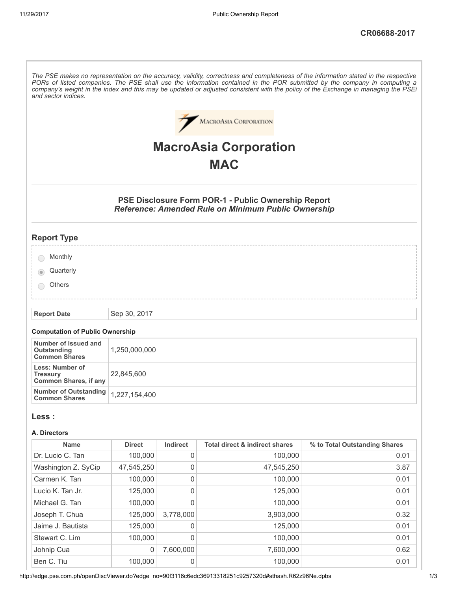|                                                                                                                                                                                                                                                                                         |                    |                     | <b>MACROASIA CORPORATION</b>                                                                                      |                               |
|-----------------------------------------------------------------------------------------------------------------------------------------------------------------------------------------------------------------------------------------------------------------------------------------|--------------------|---------------------|-------------------------------------------------------------------------------------------------------------------|-------------------------------|
|                                                                                                                                                                                                                                                                                         |                    |                     |                                                                                                                   |                               |
|                                                                                                                                                                                                                                                                                         |                    |                     | <b>MacroAsia Corporation</b>                                                                                      |                               |
|                                                                                                                                                                                                                                                                                         |                    |                     | <b>MAC</b>                                                                                                        |                               |
|                                                                                                                                                                                                                                                                                         |                    |                     |                                                                                                                   |                               |
|                                                                                                                                                                                                                                                                                         |                    |                     | PSE Disclosure Form POR-1 - Public Ownership Report<br><b>Reference: Amended Rule on Minimum Public Ownership</b> |                               |
| <b>Report Type</b>                                                                                                                                                                                                                                                                      |                    |                     |                                                                                                                   |                               |
| Monthly                                                                                                                                                                                                                                                                                 |                    |                     |                                                                                                                   |                               |
| Quarterly                                                                                                                                                                                                                                                                               |                    |                     |                                                                                                                   |                               |
| Others                                                                                                                                                                                                                                                                                  |                    |                     |                                                                                                                   |                               |
|                                                                                                                                                                                                                                                                                         |                    |                     |                                                                                                                   |                               |
| <b>Report Date</b>                                                                                                                                                                                                                                                                      | Sep 30, 2017       |                     |                                                                                                                   |                               |
|                                                                                                                                                                                                                                                                                         |                    |                     |                                                                                                                   |                               |
| <b>Computation of Public Ownership</b>                                                                                                                                                                                                                                                  |                    |                     |                                                                                                                   |                               |
| Number of Issued and<br>Outstanding<br><b>Common Shares</b>                                                                                                                                                                                                                             | 1,250,000,000      |                     |                                                                                                                   |                               |
| Less: Number of<br><b>Treasury</b>                                                                                                                                                                                                                                                      | 22,845,600         |                     |                                                                                                                   |                               |
|                                                                                                                                                                                                                                                                                         |                    | 1,227,154,400       |                                                                                                                   |                               |
|                                                                                                                                                                                                                                                                                         |                    |                     |                                                                                                                   |                               |
|                                                                                                                                                                                                                                                                                         |                    |                     |                                                                                                                   |                               |
| <b>Name</b>                                                                                                                                                                                                                                                                             | <b>Direct</b>      | Indirect            | <b>Total direct &amp; indirect shares</b>                                                                         | % to Total Outstanding Shares |
|                                                                                                                                                                                                                                                                                         | 100,000            | $\mathsf{O}\xspace$ | 100,000                                                                                                           | 0.01                          |
|                                                                                                                                                                                                                                                                                         | 47,545,250         | 0<br>0              | 47,545,250                                                                                                        | 3.87                          |
|                                                                                                                                                                                                                                                                                         | 100,000<br>125,000 | $\mathsf{O}\xspace$ | 100,000<br>125,000                                                                                                | 0.01<br>0.01                  |
|                                                                                                                                                                                                                                                                                         | 100,000            | 0                   | 100,000                                                                                                           | 0.01                          |
|                                                                                                                                                                                                                                                                                         | 125,000            | 3,778,000           | 3,903,000                                                                                                         | 0.32                          |
|                                                                                                                                                                                                                                                                                         | 125,000            | 0                   | 125,000                                                                                                           | 0.01                          |
|                                                                                                                                                                                                                                                                                         | 100,000            | 0                   | 100,000                                                                                                           | 0.01                          |
| <b>Common Shares, if any</b><br><b>Number of Outstanding</b><br><b>Common Shares</b><br>Less :<br>A. Directors<br>Dr. Lucio C. Tan<br>Washington Z. SyCip<br>Carmen K. Tan<br>Lucio K. Tan Jr.<br>Michael G. Tan<br>Joseph T. Chua<br>Jaime J. Bautista<br>Stewart C. Lim<br>Johnip Cua | 0                  | 7,600,000           | 7,600,000                                                                                                         | 0.62                          |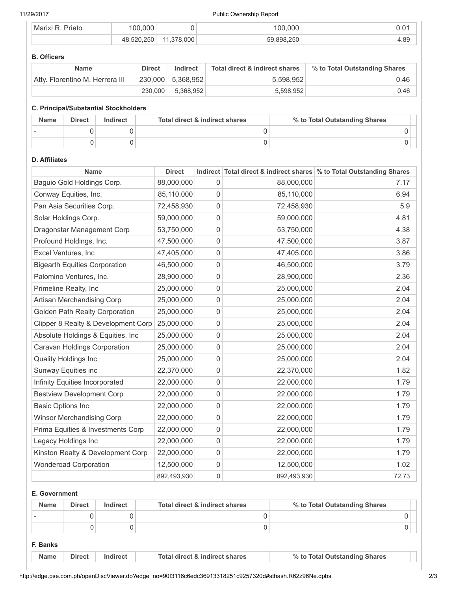## 11/29/2017 Public Ownership Report

| Prietr<br>M | $\sim$ $\sim$ |     | .000<br>ന          | $\sim$<br>u.u   |
|-------------|---------------|-----|--------------------|-----------------|
|             |               | 000 | 25C<br>БC<br>. U U | $\sim$<br>r. Uc |

## B. Officers

| <b>Name</b>                     | <b>Direct</b> | Indirect          | Total direct & indirect shares | % to Total Outstanding Shares |
|---------------------------------|---------------|-------------------|--------------------------------|-------------------------------|
| Atty. Florentino M. Herrera III |               | 230,000 5,368,952 | 5.598.952                      | 0.46                          |
|                                 | 230.000       | 5,368,952         | 5,598,952                      | 0.46                          |

## C. Principal/Substantial Stockholders

| <b>Name</b> | <b>Direct</b> | Indirect | Total direct & indirect shares | % to Total Outstanding Shares |  |
|-------------|---------------|----------|--------------------------------|-------------------------------|--|
|             |               |          |                                |                               |  |
|             |               |          |                                |                               |  |

# D. Affiliates

| Name                                 | <b>Direct</b> |             |             | Indirect Total direct & indirect shares \% to Total Outstanding Shares |
|--------------------------------------|---------------|-------------|-------------|------------------------------------------------------------------------|
| Baguio Gold Holdings Corp.           | 88,000,000    | 0           | 88,000,000  | 7.17                                                                   |
| Conway Equities, Inc.                | 85,110,000    | 0           | 85,110,000  | 6.94                                                                   |
| Pan Asia Securities Corp.            | 72,458,930    | 0           | 72,458,930  | 5.9                                                                    |
| Solar Holdings Corp.                 | 59,000,000    | 0           | 59,000,000  | 4.81                                                                   |
| Dragonstar Management Corp           | 53,750,000    | 0           | 53,750,000  | 4.38                                                                   |
| Profound Holdings, Inc.              | 47,500,000    | 0           | 47,500,000  | 3.87                                                                   |
| Excel Ventures, Inc                  | 47,405,000    | 0           | 47,405,000  | 3.86                                                                   |
| <b>Bigearth Equities Corporation</b> | 46,500,000    | 0           | 46,500,000  | 3.79                                                                   |
| Palomino Ventures, Inc.              | 28,900,000    | 0           | 28,900,000  | 2.36                                                                   |
| Primeline Realty, Inc.               | 25,000,000    | 0           | 25,000,000  | 2.04                                                                   |
| Artisan Merchandising Corp           | 25,000,000    | 0           | 25,000,000  | 2.04                                                                   |
| Golden Path Realty Corporation       | 25,000,000    | 0           | 25,000,000  | 2.04                                                                   |
| Clipper 8 Realty & Development Corp  | 25,000,000    | 0           | 25,000,000  | 2.04                                                                   |
| Absolute Holdings & Equities, Inc.   | 25,000,000    | 0           | 25,000,000  | 2.04                                                                   |
| Caravan Holdings Corporation         | 25,000,000    | 0           | 25,000,000  | 2.04                                                                   |
| <b>Quality Holdings Inc</b>          | 25,000,000    | 0           | 25,000,000  | 2.04                                                                   |
| Sunway Equities inc                  | 22,370,000    | 0           | 22,370,000  | 1.82                                                                   |
| Infinity Equities Incorporated       | 22,000,000    | 0           | 22,000,000  | 1.79                                                                   |
| <b>Bestview Development Corp</b>     | 22,000,000    | 0           | 22,000,000  | 1.79                                                                   |
| <b>Basic Options Inc</b>             | 22,000,000    | 0           | 22,000,000  | 1.79                                                                   |
| Winsor Merchandising Corp            | 22,000,000    | 0           | 22,000,000  | 1.79                                                                   |
| Prima Equities & Investments Corp    | 22,000,000    | 0           | 22,000,000  | 1.79                                                                   |
| Legacy Holdings Inc                  | 22,000,000    | 0           | 22,000,000  | 1.79                                                                   |
| Kinston Realty & Development Corp    | 22,000,000    | 0           | 22,000,000  | 1.79                                                                   |
| <b>Wonderoad Corporation</b>         | 12,500,000    | 0           | 12,500,000  | 1.02                                                                   |
|                                      | 892,493,930   | $\mathsf 0$ | 892,493,930 | 72.73                                                                  |

# E. Government

| <b>Name</b> | <b>Direct</b> | Indirect | Total direct & indirect shares | % to Total Outstanding Shares |
|-------------|---------------|----------|--------------------------------|-------------------------------|
|             |               |          |                                |                               |
|             |               |          |                                |                               |

- F. Banks
- Name Direct Indirect Total direct & indirect shares % to Total Outstanding Shares